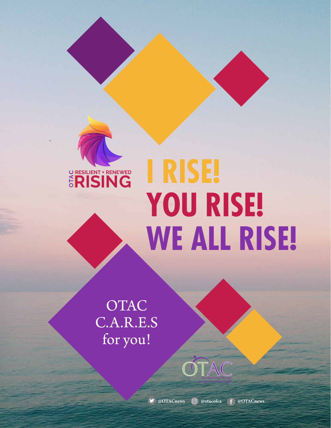

# **I RISE! YOU RISE! WE ALL RISE!**

OTAC

**Association of California**

**OTAC** C.A.R.E.S for you!

 **@OTACnews @otacofca @OTACnews**